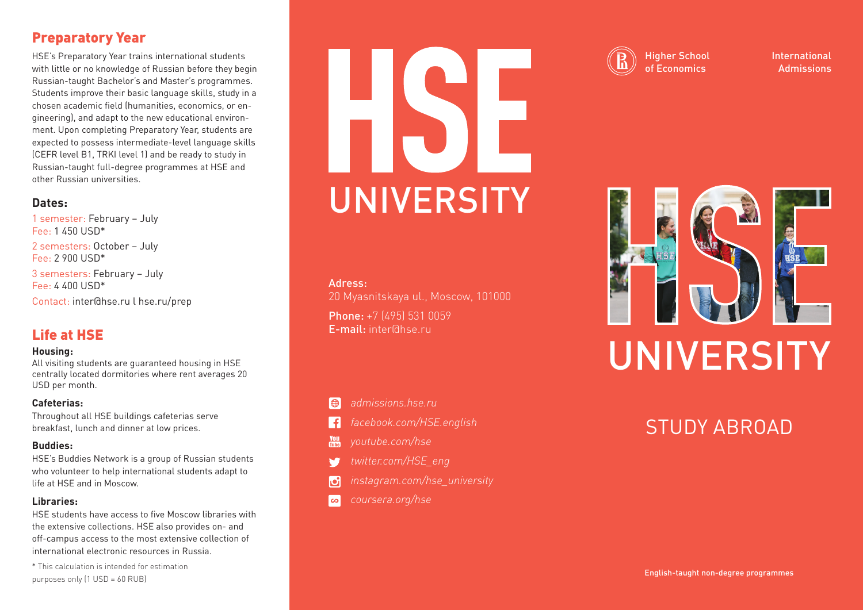# Preparatory Year

HSE's Preparatory Year trains international students with little or no knowledge of Russian before they begin Russian-taught Bachelor's and Master's programmes. Students improve their basic language skills, study in a chosen academic field (humanities, economics, or engineering), and adapt to the new educational environment. Upon completing Preparatory Year, students are expected to possess intermediate-level language skills (CEFR level B1, TRKI level 1) and be ready to study in Russian-taught full-degree programmes at HSE and other Russian universities.

## **Dates:**

1 semester: February – July Fee: 1 450 USD\* 2 semesters: October – July Fee: 2 900 USD\* 3 semesters: February – July Fee: 4 400 USD\* Contact: inter@hse.ru l hse.ru/prep

# Life at HSE

### **Housing:**

All visiting students are guaranteed housing in HSE centrally located dormitories where rent averages 20 USD per month.

## **Cafeterias:**

Throughout all HSE buildings cafeterias serve breakfast, lunch and dinner at low prices.

### **Buddies:**

HSE's Buddies Network is a group of Russian students who volunteer to help international students adapt to life at HSE and in Moscow.

## **Libraries:**

HSE students have access to five Moscow libraries with the extensive collections. HSE also provides on- and off-campus access to the most extensive collection of international electronic resources in Russia.

\* This calculation is intended for estimation purposes only (1 USD = 60 RUB)

# UNIVERSITY

## Adress:

20 Myasnitskaya ul., Moscow, 101000 Phone: +7 (495) 531 0059 E-mail: inter@hse.ru



- *facebook.com/HSE.english* ١f
- *youtube.com/hse*
- *twitter.com/HSE\_eng*
- IО
- *coursera.org/hse*l co

## Higher School of Economics

International Admissions



# STUDY ABROAD

English-taught non-degree programmes